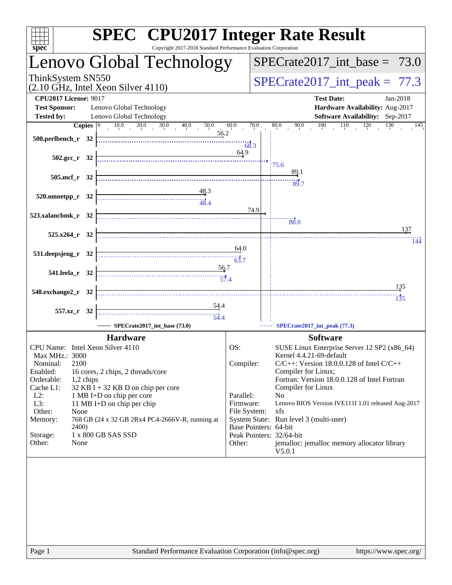| <b>SPEC<sup>®</sup></b> CPU2017 Integer Rate Result<br>Copyright 2017-2018 Standard Performance Evaluation Corporation<br>spec <sup>®</sup> |  |                                                                                                                                                                                                                                                                                                                                                                                                                                                                                                                                                                                                                                                              |                          |                                                                                        |                                                       |  |  |  |  |
|---------------------------------------------------------------------------------------------------------------------------------------------|--|--------------------------------------------------------------------------------------------------------------------------------------------------------------------------------------------------------------------------------------------------------------------------------------------------------------------------------------------------------------------------------------------------------------------------------------------------------------------------------------------------------------------------------------------------------------------------------------------------------------------------------------------------------------|--------------------------|----------------------------------------------------------------------------------------|-------------------------------------------------------|--|--|--|--|
|                                                                                                                                             |  | Lenovo Global Technology                                                                                                                                                                                                                                                                                                                                                                                                                                                                                                                                                                                                                                     |                          |                                                                                        | $SPECTate2017\_int\_base = 73.0$                      |  |  |  |  |
| ThinkSystem SN550<br>$(2.10 \text{ GHz}, \text{Intel Xeon Silver } 4110)$                                                                   |  |                                                                                                                                                                                                                                                                                                                                                                                                                                                                                                                                                                                                                                                              |                          |                                                                                        | $SPECrate2017\_int\_peak = 77.3$                      |  |  |  |  |
| <b>CPU2017 License: 9017</b><br><b>Test Date:</b><br>Jan-2018                                                                               |  |                                                                                                                                                                                                                                                                                                                                                                                                                                                                                                                                                                                                                                                              |                          |                                                                                        |                                                       |  |  |  |  |
| <b>Test Sponsor:</b>                                                                                                                        |  | Lenovo Global Technology                                                                                                                                                                                                                                                                                                                                                                                                                                                                                                                                                                                                                                     |                          |                                                                                        | Hardware Availability: Aug-2017                       |  |  |  |  |
| <b>Tested by:</b>                                                                                                                           |  | Lenovo Global Technology                                                                                                                                                                                                                                                                                                                                                                                                                                                                                                                                                                                                                                     |                          |                                                                                        | Software Availability: Sep-2017                       |  |  |  |  |
|                                                                                                                                             |  | <b>Copies</b> $\begin{bmatrix} 0 & 10.0 & 20.0 & 30.0 & 40.0 & 50.0 \end{bmatrix}$<br>56.2                                                                                                                                                                                                                                                                                                                                                                                                                                                                                                                                                                   | 60.0                     | 70.0                                                                                   | $80.0$ $90.0$ $100$ $110$ $120$ $130$<br>145          |  |  |  |  |
| $500.$ perlbench_r 32                                                                                                                       |  |                                                                                                                                                                                                                                                                                                                                                                                                                                                                                                                                                                                                                                                              | 68.3                     |                                                                                        |                                                       |  |  |  |  |
|                                                                                                                                             |  |                                                                                                                                                                                                                                                                                                                                                                                                                                                                                                                                                                                                                                                              | 64.9                     |                                                                                        |                                                       |  |  |  |  |
| $502.\text{sec}_r$ 32                                                                                                                       |  |                                                                                                                                                                                                                                                                                                                                                                                                                                                                                                                                                                                                                                                              |                          |                                                                                        | 75.6                                                  |  |  |  |  |
| $505.\text{mcf}_r$ 32                                                                                                                       |  |                                                                                                                                                                                                                                                                                                                                                                                                                                                                                                                                                                                                                                                              |                          |                                                                                        | 89.1                                                  |  |  |  |  |
|                                                                                                                                             |  |                                                                                                                                                                                                                                                                                                                                                                                                                                                                                                                                                                                                                                                              |                          |                                                                                        | 89.7                                                  |  |  |  |  |
| $520.0$ mnetpp_r $32$                                                                                                                       |  | <u>48.3</u><br>$\begin{array}{c c c c c} \hline \text{} & \text{} & \text{} \\ \hline \text{} & \text{} & \text{} \\ \hline \text{} & \text{} & \text{} \\ \hline \end{array}$                                                                                                                                                                                                                                                                                                                                                                                                                                                                               |                          |                                                                                        |                                                       |  |  |  |  |
|                                                                                                                                             |  |                                                                                                                                                                                                                                                                                                                                                                                                                                                                                                                                                                                                                                                              |                          | 74.9                                                                                   |                                                       |  |  |  |  |
| 523.xalancbmk_r 32                                                                                                                          |  |                                                                                                                                                                                                                                                                                                                                                                                                                                                                                                                                                                                                                                                              |                          |                                                                                        | 88.0                                                  |  |  |  |  |
|                                                                                                                                             |  |                                                                                                                                                                                                                                                                                                                                                                                                                                                                                                                                                                                                                                                              |                          |                                                                                        | 137                                                   |  |  |  |  |
| $525.x264_r$ 32                                                                                                                             |  |                                                                                                                                                                                                                                                                                                                                                                                                                                                                                                                                                                                                                                                              |                          |                                                                                        | 144                                                   |  |  |  |  |
| 531.deepsjeng_r 32                                                                                                                          |  | $\begin{array}{c}\n\phantom{\times\phantom{\times}}\phantom{\times\phantom{\times}}\phantom{\times\phantom{\times}}\phantom{\times\phantom{\times}}\phantom{\times\phantom{\times}}\phantom{\times\phantom{\times}}\phantom{\times\phantom{\times}}\phantom{\times\phantom{\times}}\phantom{\times\phantom{\times}}\phantom{\times\phantom{\times}}\phantom{\times\phantom{\times}}\phantom{\times\phantom{\times}}\phantom{\times\phantom{\times}}\phantom{\times\phantom{\times}}\phantom{\times\phantom{\times}}\phantom{\times\phantom{\times}}\phantom{\times\phantom{\times}}\phantom{\times\phantom{\times}}\phantom{\times\phantom{\times}}\phantom$ | 64.0                     |                                                                                        |                                                       |  |  |  |  |
|                                                                                                                                             |  |                                                                                                                                                                                                                                                                                                                                                                                                                                                                                                                                                                                                                                                              |                          |                                                                                        |                                                       |  |  |  |  |
| 541.leela_r 32                                                                                                                              |  | 56.7                                                                                                                                                                                                                                                                                                                                                                                                                                                                                                                                                                                                                                                         |                          |                                                                                        |                                                       |  |  |  |  |
|                                                                                                                                             |  |                                                                                                                                                                                                                                                                                                                                                                                                                                                                                                                                                                                                                                                              |                          |                                                                                        | 135                                                   |  |  |  |  |
| 548.exchange2_r 32                                                                                                                          |  |                                                                                                                                                                                                                                                                                                                                                                                                                                                                                                                                                                                                                                                              |                          |                                                                                        | 135                                                   |  |  |  |  |
|                                                                                                                                             |  | $\frac{54.4}{5}$                                                                                                                                                                                                                                                                                                                                                                                                                                                                                                                                                                                                                                             |                          |                                                                                        |                                                       |  |  |  |  |
| 557.xz_r 32                                                                                                                                 |  |                                                                                                                                                                                                                                                                                                                                                                                                                                                                                                                                                                                                                                                              |                          |                                                                                        |                                                       |  |  |  |  |
| SPECrate2017 int base (73.0)                                                                                                                |  |                                                                                                                                                                                                                                                                                                                                                                                                                                                                                                                                                                                                                                                              |                          |                                                                                        | SPECrate2017_int_peak (77.3)                          |  |  |  |  |
|                                                                                                                                             |  | <b>Hardware</b>                                                                                                                                                                                                                                                                                                                                                                                                                                                                                                                                                                                                                                              |                          |                                                                                        | <b>Software</b>                                       |  |  |  |  |
| CPU Name: Intel Xeon Silver 4110                                                                                                            |  |                                                                                                                                                                                                                                                                                                                                                                                                                                                                                                                                                                                                                                                              | OS:                      | SUSE Linux Enterprise Server 12 SP2 (x86_64)                                           |                                                       |  |  |  |  |
| Max MHz.: 3000<br>2100<br>Nominal:                                                                                                          |  |                                                                                                                                                                                                                                                                                                                                                                                                                                                                                                                                                                                                                                                              |                          | Kernel 4.4.21-69-default<br>Compiler:<br>$C/C++$ : Version 18.0.0.128 of Intel $C/C++$ |                                                       |  |  |  |  |
| Enabled:<br>16 cores, 2 chips, 2 threads/core                                                                                               |  |                                                                                                                                                                                                                                                                                                                                                                                                                                                                                                                                                                                                                                                              | Compiler for Linux;      |                                                                                        |                                                       |  |  |  |  |
| Orderable:<br>1,2 chips                                                                                                                     |  |                                                                                                                                                                                                                                                                                                                                                                                                                                                                                                                                                                                                                                                              |                          | Fortran: Version 18.0.0.128 of Intel Fortran                                           |                                                       |  |  |  |  |
| Cache L1:<br>32 KB I + 32 KB D on chip per core<br>$L2$ :<br>1 MB I+D on chip per core                                                      |  |                                                                                                                                                                                                                                                                                                                                                                                                                                                                                                                                                                                                                                                              |                          | Compiler for Linux<br>Parallel:<br>N <sub>0</sub>                                      |                                                       |  |  |  |  |
| L3:<br>11 MB I+D on chip per chip                                                                                                           |  |                                                                                                                                                                                                                                                                                                                                                                                                                                                                                                                                                                                                                                                              | Firmware:                |                                                                                        | Lenovo BIOS Version IVE111I 1.01 released Aug-2017    |  |  |  |  |
| Other:<br>None<br>768 GB (24 x 32 GB 2Rx4 PC4-2666V-R, running at<br>Memory:                                                                |  |                                                                                                                                                                                                                                                                                                                                                                                                                                                                                                                                                                                                                                                              | File System:             |                                                                                        | xfs<br>System State: Run level 3 (multi-user)         |  |  |  |  |
| <b>2400</b> )                                                                                                                               |  |                                                                                                                                                                                                                                                                                                                                                                                                                                                                                                                                                                                                                                                              | Base Pointers: 64-bit    |                                                                                        |                                                       |  |  |  |  |
| 1 x 800 GB SAS SSD<br>Storage:                                                                                                              |  |                                                                                                                                                                                                                                                                                                                                                                                                                                                                                                                                                                                                                                                              | Peak Pointers: 32/64-bit |                                                                                        |                                                       |  |  |  |  |
| Other:<br>None                                                                                                                              |  |                                                                                                                                                                                                                                                                                                                                                                                                                                                                                                                                                                                                                                                              | Other:                   |                                                                                        | jemalloc: jemalloc memory allocator library<br>V5.0.1 |  |  |  |  |
|                                                                                                                                             |  |                                                                                                                                                                                                                                                                                                                                                                                                                                                                                                                                                                                                                                                              |                          |                                                                                        |                                                       |  |  |  |  |
|                                                                                                                                             |  |                                                                                                                                                                                                                                                                                                                                                                                                                                                                                                                                                                                                                                                              |                          |                                                                                        |                                                       |  |  |  |  |
|                                                                                                                                             |  |                                                                                                                                                                                                                                                                                                                                                                                                                                                                                                                                                                                                                                                              |                          |                                                                                        |                                                       |  |  |  |  |
|                                                                                                                                             |  |                                                                                                                                                                                                                                                                                                                                                                                                                                                                                                                                                                                                                                                              |                          |                                                                                        |                                                       |  |  |  |  |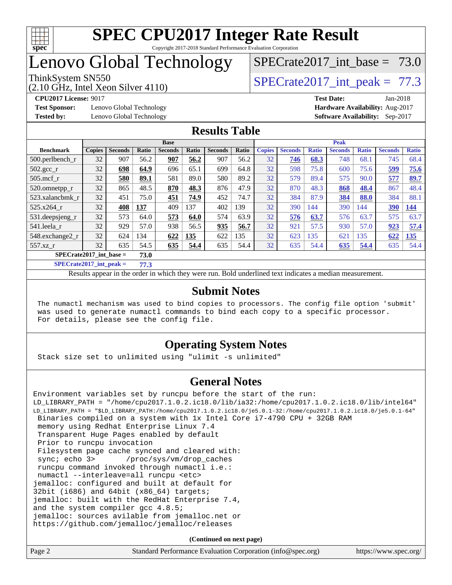

## Lenovo Global Technology

## SPECrate2017 int\_base =  $73.0$

(2.10 GHz, Intel Xeon Silver 4110)

ThinkSystem SN550<br>  $SPECTA 110$ <br>  $SPECTA 2017$  int peak = 77.3

**[Test Sponsor:](http://www.spec.org/auto/cpu2017/Docs/result-fields.html#TestSponsor)** Lenovo Global Technology **[Hardware Availability:](http://www.spec.org/auto/cpu2017/Docs/result-fields.html#HardwareAvailability)** Aug-2017 **[Tested by:](http://www.spec.org/auto/cpu2017/Docs/result-fields.html#Testedby)** Lenovo Global Technology **[Software Availability:](http://www.spec.org/auto/cpu2017/Docs/result-fields.html#SoftwareAvailability)** Sep-2017

**[CPU2017 License:](http://www.spec.org/auto/cpu2017/Docs/result-fields.html#CPU2017License)** 9017 **[Test Date:](http://www.spec.org/auto/cpu2017/Docs/result-fields.html#TestDate)** Jan-2018

#### **[Results Table](http://www.spec.org/auto/cpu2017/Docs/result-fields.html#ResultsTable)**

|                                   | <b>Base</b>   |                |       |                | <b>Peak</b> |                |       |               |                |              |                |              |                |              |
|-----------------------------------|---------------|----------------|-------|----------------|-------------|----------------|-------|---------------|----------------|--------------|----------------|--------------|----------------|--------------|
| <b>Benchmark</b>                  | <b>Copies</b> | <b>Seconds</b> | Ratio | <b>Seconds</b> | Ratio       | <b>Seconds</b> | Ratio | <b>Copies</b> | <b>Seconds</b> | <b>Ratio</b> | <b>Seconds</b> | <b>Ratio</b> | <b>Seconds</b> | <b>Ratio</b> |
| $500$ .perlbench r                | 32            | 907            | 56.2  | 907            | 56.2        | 907            | 56.2  | 32            | 746            | 68.3         | 748            | 68.1         | 745            | 68.4         |
| $502.\text{sec}$                  | 32            | 698            | 64.9  | 696            | 65.1        | 699            | 64.8  | 32            | 598            | 75.8         | 600            | 75.6         | 599            | 75.6         |
| $505$ .mcf r                      | 32            | 580            | 89.1  | 581            | 89.0        | 580            | 89.2  | 32            | 579            | 89.4         | 575            | 90.0         | 577            | 89.7         |
| 520.omnetpp_r                     | 32            | 865            | 48.5  | 870            | 48.3        | 876            | 47.9  | 32            | 870            | 48.3         | 868            | 48.4         | 867            | 48.4         |
| 523.xalancbmk r                   | 32            | 451            | 75.0  | 451            | 74.9        | 452            | 74.7  | 32            | 384            | 87.9         | 384            | 88.0         | 384            | 88.1         |
| 525.x264 r                        | 32            | 408            | 137   | 409            | 137         | 402            | 139   | 32            | 390            | 144          | 390            | 144          | 390            | <u>144</u>   |
| 531.deepsjeng_r                   | 32            | 573            | 64.0  | 573            | 64.0        | 574            | 63.9  | 32            | 576            | 63.7         | 576            | 63.7         | 575            | 63.7         |
| 541.leela r                       | 32            | 929            | 57.0  | 938            | 56.5        | 935            | 56.7  | 32            | 921            | 57.5         | 930            | 57.0         | 923            | 57.4         |
| 548.exchange2_r                   | 32            | 624            | 134   | 622            | 135         | 622            | 135   | 32            | 623            | 135          | 621            | 135          | 622            | 135          |
| 557.xz r                          | 32            | 635            | 54.5  | 635            | 54.4        | 635            | 54.4  | 32            | 635            | 54.4         | 635            | 54.4         | 635            | 54.4         |
| $SPECrate2017$ int base =<br>73.0 |               |                |       |                |             |                |       |               |                |              |                |              |                |              |

**[SPECrate2017\\_int\\_peak =](http://www.spec.org/auto/cpu2017/Docs/result-fields.html#SPECrate2017intpeak) 77.3**

Results appear in the [order in which they were run.](http://www.spec.org/auto/cpu2017/Docs/result-fields.html#RunOrder) Bold underlined text [indicates a median measurement.](http://www.spec.org/auto/cpu2017/Docs/result-fields.html#Median)

#### **[Submit Notes](http://www.spec.org/auto/cpu2017/Docs/result-fields.html#SubmitNotes)**

 The numactl mechanism was used to bind copies to processors. The config file option 'submit' was used to generate numactl commands to bind each copy to a specific processor. For details, please see the config file.

#### **[Operating System Notes](http://www.spec.org/auto/cpu2017/Docs/result-fields.html#OperatingSystemNotes)**

Stack size set to unlimited using "ulimit -s unlimited"

#### **[General Notes](http://www.spec.org/auto/cpu2017/Docs/result-fields.html#GeneralNotes)**

Environment variables set by runcpu before the start of the run: LD\_LIBRARY\_PATH = "/home/cpu2017.1.0.2.ic18.0/lib/ia32:/home/cpu2017.1.0.2.ic18.0/lib/intel64" LD\_LIBRARY\_PATH = "\$LD\_LIBRARY\_PATH:/home/cpu2017.1.0.2.ic18.0/je5.0.1-32:/home/cpu2017.1.0.2.ic18.0/je5.0.1-64" Binaries compiled on a system with 1x Intel Core i7-4790 CPU + 32GB RAM memory using Redhat Enterprise Linux 7.4 Transparent Huge Pages enabled by default Prior to runcpu invocation Filesystem page cache synced and cleared with: sync; echo 3> /proc/sys/vm/drop\_caches runcpu command invoked through numactl i.e.: numactl --interleave=all runcpu <etc> jemalloc: configured and built at default for 32bit (i686) and 64bit (x86\_64) targets; jemalloc: built with the RedHat Enterprise 7.4, and the system compiler gcc 4.8.5; jemalloc: sources avilable from jemalloc.net or <https://github.com/jemalloc/jemalloc/releases>

| Page 2 | Standard Performance Evaluation Corporation (info@spec.org) | https://www.spec.org/ |
|--------|-------------------------------------------------------------|-----------------------|
|--------|-------------------------------------------------------------|-----------------------|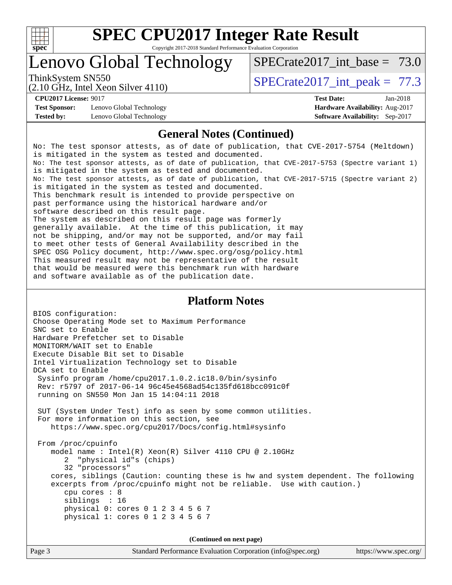

# **[SPEC CPU2017 Integer Rate Result](http://www.spec.org/auto/cpu2017/Docs/result-fields.html#SPECCPU2017IntegerRateResult)**

Copyright 2017-2018 Standard Performance Evaluation Corporation

## Lenovo Global Technology

SPECrate2017 int\_base =  $73.0$ 

(2.10 GHz, Intel Xeon Silver 4110)

ThinkSystem SN550<br>  $SPECTA 110$ <br>  $SPECTA 2017$  int peak = 77.3

**[Test Sponsor:](http://www.spec.org/auto/cpu2017/Docs/result-fields.html#TestSponsor)** Lenovo Global Technology **[Hardware Availability:](http://www.spec.org/auto/cpu2017/Docs/result-fields.html#HardwareAvailability)** Aug-2017 **[Tested by:](http://www.spec.org/auto/cpu2017/Docs/result-fields.html#Testedby)** Lenovo Global Technology **[Software Availability:](http://www.spec.org/auto/cpu2017/Docs/result-fields.html#SoftwareAvailability)** Sep-2017

**[CPU2017 License:](http://www.spec.org/auto/cpu2017/Docs/result-fields.html#CPU2017License)** 9017 **[Test Date:](http://www.spec.org/auto/cpu2017/Docs/result-fields.html#TestDate)** Jan-2018

#### **[General Notes \(Continued\)](http://www.spec.org/auto/cpu2017/Docs/result-fields.html#GeneralNotes)**

No: The test sponsor attests, as of date of publication, that CVE-2017-5754 (Meltdown) is mitigated in the system as tested and documented. No: The test sponsor attests, as of date of publication, that CVE-2017-5753 (Spectre variant 1) is mitigated in the system as tested and documented. No: The test sponsor attests, as of date of publication, that CVE-2017-5715 (Spectre variant 2) is mitigated in the system as tested and documented. This benchmark result is intended to provide perspective on past performance using the historical hardware and/or software described on this result page. The system as described on this result page was formerly generally available. At the time of this publication, it may not be shipping, and/or may not be supported, and/or may fail to meet other tests of General Availability described in the SPEC OSG Policy document, <http://www.spec.org/osg/policy.html> This measured result may not be representative of the result that would be measured were this benchmark run with hardware and software available as of the publication date.

#### **[Platform Notes](http://www.spec.org/auto/cpu2017/Docs/result-fields.html#PlatformNotes)**

BIOS configuration: Choose Operating Mode set to Maximum Performance SNC set to Enable Hardware Prefetcher set to Disable MONITORM/WAIT set to Enable Execute Disable Bit set to Disable Intel Virtualization Technology set to Disable DCA set to Enable Sysinfo program /home/cpu2017.1.0.2.ic18.0/bin/sysinfo Rev: r5797 of 2017-06-14 96c45e4568ad54c135fd618bcc091c0f running on SN550 Mon Jan 15 14:04:11 2018 SUT (System Under Test) info as seen by some common utilities. For more information on this section, see <https://www.spec.org/cpu2017/Docs/config.html#sysinfo> From /proc/cpuinfo model name : Intel(R) Xeon(R) Silver 4110 CPU @ 2.10GHz 2 "physical id"s (chips) 32 "processors" cores, siblings (Caution: counting these is hw and system dependent. The following excerpts from /proc/cpuinfo might not be reliable. Use with caution.) cpu cores : 8 siblings : 16 physical 0: cores 0 1 2 3 4 5 6 7 physical 1: cores 0 1 2 3 4 5 6 7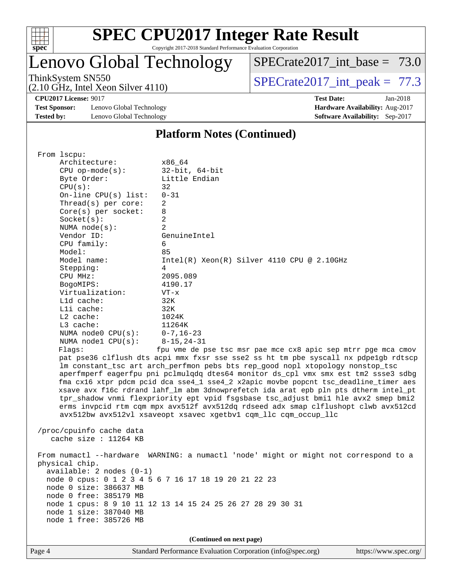

# **[SPEC CPU2017 Integer Rate Result](http://www.spec.org/auto/cpu2017/Docs/result-fields.html#SPECCPU2017IntegerRateResult)**

Copyright 2017-2018 Standard Performance Evaluation Corporation

## Lenovo Global Technology

SPECrate2017 int\_base =  $73.0$ 

(2.10 GHz, Intel Xeon Silver 4110)

ThinkSystem SN550  $SPECrate2017$  int\_peak = 77.3

**[CPU2017 License:](http://www.spec.org/auto/cpu2017/Docs/result-fields.html#CPU2017License)** 9017 **[Test Date:](http://www.spec.org/auto/cpu2017/Docs/result-fields.html#TestDate)** Jan-2018

**[Test Sponsor:](http://www.spec.org/auto/cpu2017/Docs/result-fields.html#TestSponsor)** Lenovo Global Technology **[Hardware Availability:](http://www.spec.org/auto/cpu2017/Docs/result-fields.html#HardwareAvailability)** Aug-2017 **[Tested by:](http://www.spec.org/auto/cpu2017/Docs/result-fields.html#Testedby)** Lenovo Global Technology **[Software Availability:](http://www.spec.org/auto/cpu2017/Docs/result-fields.html#SoftwareAvailability)** Sep-2017

#### **[Platform Notes \(Continued\)](http://www.spec.org/auto/cpu2017/Docs/result-fields.html#PlatformNotes)**

 From lscpu: Architecture: x86\_64 CPU op-mode(s): 32-bit, 64-bit Byte Order: Little Endian  $CPU(s):$  32 On-line CPU(s) list: 0-31 Thread(s) per core: 2 Core(s) per socket: 8 Socket(s): 2 NUMA node(s): 2 Vendor ID: GenuineIntel CPU family: 6 Model: 85 Model name:  $Intel(R)$  Xeon(R) Silver 4110 CPU @ 2.10GHz Stepping: 4 CPU MHz: 2095.089 BogoMIPS: 4190.17 Virtualization: VT-x L1d cache: 32K L1i cache: 32K L2 cache: 1024K L3 cache: 11264K NUMA node0 CPU(s): 0-7,16-23 NUMA node1 CPU(s): 8-15,24-31 Flags: fpu vme de pse tsc msr pae mce cx8 apic sep mtrr pge mca cmov pat pse36 clflush dts acpi mmx fxsr sse sse2 ss ht tm pbe syscall nx pdpe1gb rdtscp lm constant\_tsc art arch\_perfmon pebs bts rep\_good nopl xtopology nonstop\_tsc aperfmperf eagerfpu pni pclmulqdq dtes64 monitor ds\_cpl vmx smx est tm2 ssse3 sdbg fma cx16 xtpr pdcm pcid dca sse4\_1 sse4\_2 x2apic movbe popcnt tsc\_deadline\_timer aes xsave avx f16c rdrand lahf\_lm abm 3dnowprefetch ida arat epb pln pts dtherm intel\_pt tpr\_shadow vnmi flexpriority ept vpid fsgsbase tsc\_adjust bmi1 hle avx2 smep bmi2 erms invpcid rtm cqm mpx avx512f avx512dq rdseed adx smap clflushopt clwb avx512cd avx512bw avx512vl xsaveopt xsavec xgetbv1 cqm\_llc cqm\_occup\_llc /proc/cpuinfo cache data cache size : 11264 KB From numactl --hardware WARNING: a numactl 'node' might or might not correspond to a physical chip. available: 2 nodes (0-1) node 0 cpus: 0 1 2 3 4 5 6 7 16 17 18 19 20 21 22 23 node 0 size: 386637 MB node 0 free: 385179 MB node 1 cpus: 8 9 10 11 12 13 14 15 24 25 26 27 28 29 30 31 node 1 size: 387040 MB node 1 free: 385726 MB **(Continued on next page)**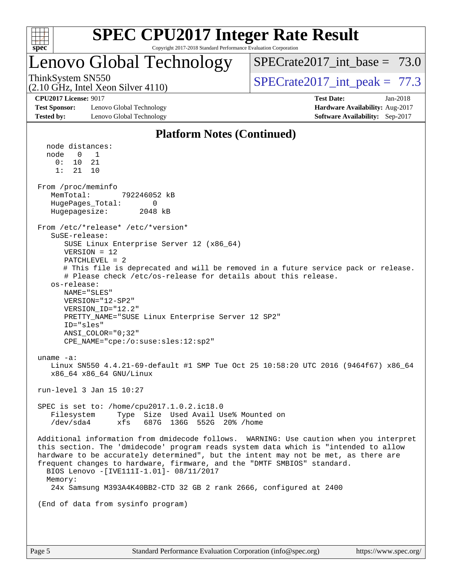

## Lenovo Global Technology

SPECrate2017 int\_base =  $73.0$ 

(2.10 GHz, Intel Xeon Silver 4110)

ThinkSystem SN550<br>  $SPECTA 110$ <br>  $SPECTA 2017$  int peak = 77.3

**[CPU2017 License:](http://www.spec.org/auto/cpu2017/Docs/result-fields.html#CPU2017License)** 9017 **[Test Date:](http://www.spec.org/auto/cpu2017/Docs/result-fields.html#TestDate)** Jan-2018

**[Test Sponsor:](http://www.spec.org/auto/cpu2017/Docs/result-fields.html#TestSponsor)** Lenovo Global Technology **[Hardware Availability:](http://www.spec.org/auto/cpu2017/Docs/result-fields.html#HardwareAvailability)** Aug-2017 **[Tested by:](http://www.spec.org/auto/cpu2017/Docs/result-fields.html#Testedby)** Lenovo Global Technology **[Software Availability:](http://www.spec.org/auto/cpu2017/Docs/result-fields.html#SoftwareAvailability)** Sep-2017

**[Platform Notes \(Continued\)](http://www.spec.org/auto/cpu2017/Docs/result-fields.html#PlatformNotes)**

 node distances: node 0 1 0: 10 21 1: 21 10 From /proc/meminfo MemTotal: 792246052 kB HugePages\_Total: 0 Hugepagesize: 2048 kB From /etc/\*release\* /etc/\*version\* SuSE-release: SUSE Linux Enterprise Server 12 (x86\_64) VERSION = 12 PATCHLEVEL = 2 # This file is deprecated and will be removed in a future service pack or release. # Please check /etc/os-release for details about this release. os-release: NAME="SLES" VERSION="12-SP2" VERSION\_ID="12.2" PRETTY\_NAME="SUSE Linux Enterprise Server 12 SP2" ID="sles" ANSI\_COLOR="0;32" CPE\_NAME="cpe:/o:suse:sles:12:sp2" uname -a: Linux SN550 4.4.21-69-default #1 SMP Tue Oct 25 10:58:20 UTC 2016 (9464f67) x86\_64 x86\_64 x86\_64 GNU/Linux run-level 3 Jan 15 10:27 SPEC is set to: /home/cpu2017.1.0.2.ic18.0 Filesystem Type Size Used Avail Use% Mounted on /dev/sda4 xfs 687G 136G 552G 20% /home Additional information from dmidecode follows. WARNING: Use caution when you interpret this section. The 'dmidecode' program reads system data which is "intended to allow hardware to be accurately determined", but the intent may not be met, as there are frequent changes to hardware, firmware, and the "DMTF SMBIOS" standard. BIOS Lenovo -[IVE111I-1.01]- 08/11/2017 Memory: 24x Samsung M393A4K40BB2-CTD 32 GB 2 rank 2666, configured at 2400 (End of data from sysinfo program)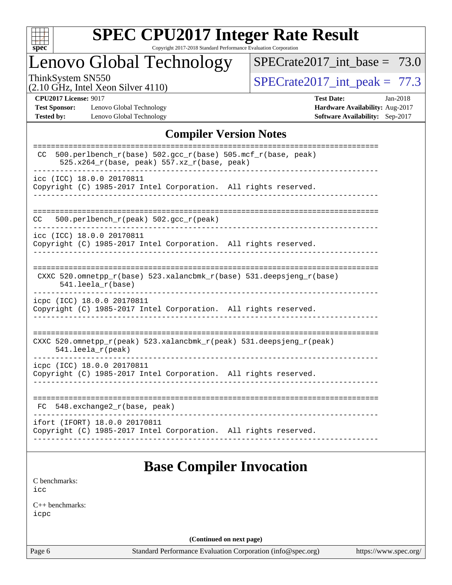

# **[SPEC CPU2017 Integer Rate Result](http://www.spec.org/auto/cpu2017/Docs/result-fields.html#SPECCPU2017IntegerRateResult)**

Copyright 2017-2018 Standard Performance Evaluation Corporation

## Lenovo Global Technology

 $SPECTate2017\_int\_base = 73.0$ 

(2.10 GHz, Intel Xeon Silver 4110)

ThinkSystem SN550<br>  $(2.10 \text{ GHz. Intel Year } 4110)$  [SPECrate2017\\_int\\_peak =](http://www.spec.org/auto/cpu2017/Docs/result-fields.html#SPECrate2017intpeak) 77.3

**[Test Sponsor:](http://www.spec.org/auto/cpu2017/Docs/result-fields.html#TestSponsor)** Lenovo Global Technology **[Hardware Availability:](http://www.spec.org/auto/cpu2017/Docs/result-fields.html#HardwareAvailability)** Aug-2017 **[Tested by:](http://www.spec.org/auto/cpu2017/Docs/result-fields.html#Testedby)** Lenovo Global Technology **[Software Availability:](http://www.spec.org/auto/cpu2017/Docs/result-fields.html#SoftwareAvailability)** Sep-2017

**[CPU2017 License:](http://www.spec.org/auto/cpu2017/Docs/result-fields.html#CPU2017License)** 9017 **[Test Date:](http://www.spec.org/auto/cpu2017/Docs/result-fields.html#TestDate)** Jan-2018

#### **[Compiler Version Notes](http://www.spec.org/auto/cpu2017/Docs/result-fields.html#CompilerVersionNotes)**

| $500. perlbench_r(base) 502. gcc_r(base) 505.mcf_r(base, peak)$<br>CC<br>$525.x264_r(base, peak) 557.xz_r(base, peak)$<br>icc (ICC) 18.0.0 20170811<br>Copyright (C) 1985-2017 Intel Corporation. All rights reserved.<br>500.perlbench_r(peak) 502.gcc_r(peak)<br>CC.<br>icc (ICC) 18.0.0 20170811<br>Copyright (C) 1985-2017 Intel Corporation. All rights reserved. |
|------------------------------------------------------------------------------------------------------------------------------------------------------------------------------------------------------------------------------------------------------------------------------------------------------------------------------------------------------------------------|
|                                                                                                                                                                                                                                                                                                                                                                        |
|                                                                                                                                                                                                                                                                                                                                                                        |
|                                                                                                                                                                                                                                                                                                                                                                        |
|                                                                                                                                                                                                                                                                                                                                                                        |
| CXXC 520.omnetpp_r(base) 523.xalancbmk_r(base) 531.deepsjeng_r(base)<br>$541.$ leela $r(base)$                                                                                                                                                                                                                                                                         |
| icpc (ICC) 18.0.0 20170811<br>Copyright (C) 1985-2017 Intel Corporation. All rights reserved.                                                                                                                                                                                                                                                                          |
| CXXC 520.omnetpp_r(peak) 523.xalancbmk_r(peak) 531.deepsjeng_r(peak)<br>$541.$ leela_r(peak)                                                                                                                                                                                                                                                                           |
| icpc (ICC) 18.0.0 20170811<br>Copyright (C) 1985-2017 Intel Corporation. All rights reserved.                                                                                                                                                                                                                                                                          |
| -------------------<br>548.exchange2_r(base, peak)<br>FC.                                                                                                                                                                                                                                                                                                              |
| ifort (IFORT) 18.0.0 20170811<br>Copyright (C) 1985-2017 Intel Corporation. All rights reserved.                                                                                                                                                                                                                                                                       |

## **[Base Compiler Invocation](http://www.spec.org/auto/cpu2017/Docs/result-fields.html#BaseCompilerInvocation)**

[C benchmarks](http://www.spec.org/auto/cpu2017/Docs/result-fields.html#Cbenchmarks): [icc](http://www.spec.org/cpu2017/results/res2018q1/cpu2017-20180122-03024.flags.html#user_CCbase_intel_icc_18.0_66fc1ee009f7361af1fbd72ca7dcefbb700085f36577c54f309893dd4ec40d12360134090235512931783d35fd58c0460139e722d5067c5574d8eaf2b3e37e92)

[C++ benchmarks:](http://www.spec.org/auto/cpu2017/Docs/result-fields.html#CXXbenchmarks) [icpc](http://www.spec.org/cpu2017/results/res2018q1/cpu2017-20180122-03024.flags.html#user_CXXbase_intel_icpc_18.0_c510b6838c7f56d33e37e94d029a35b4a7bccf4766a728ee175e80a419847e808290a9b78be685c44ab727ea267ec2f070ec5dc83b407c0218cded6866a35d07)

**(Continued on next page)**

Page 6 Standard Performance Evaluation Corporation [\(info@spec.org\)](mailto:info@spec.org) <https://www.spec.org/>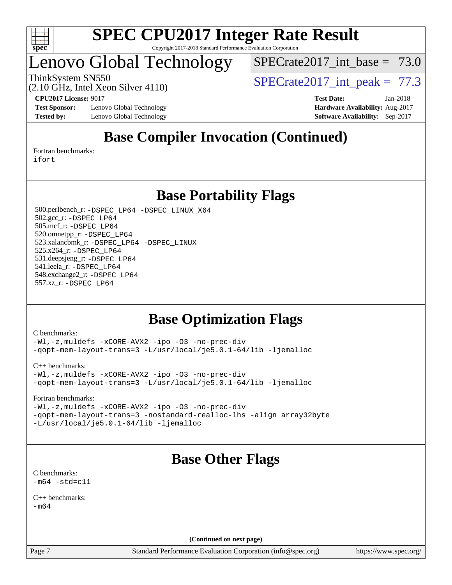

## Lenovo Global Technology

SPECrate2017 int\_base =  $73.0$ 

ThinkSystem SN550  $SPECrate2017$  int peak = 77.3

**[Test Sponsor:](http://www.spec.org/auto/cpu2017/Docs/result-fields.html#TestSponsor)** Lenovo Global Technology **[Hardware Availability:](http://www.spec.org/auto/cpu2017/Docs/result-fields.html#HardwareAvailability)** Aug-2017 **[Tested by:](http://www.spec.org/auto/cpu2017/Docs/result-fields.html#Testedby)** Lenovo Global Technology **[Software Availability:](http://www.spec.org/auto/cpu2017/Docs/result-fields.html#SoftwareAvailability)** Sep-2017

(2.10 GHz, Intel Xeon Silver 4110)

**[CPU2017 License:](http://www.spec.org/auto/cpu2017/Docs/result-fields.html#CPU2017License)** 9017 **[Test Date:](http://www.spec.org/auto/cpu2017/Docs/result-fields.html#TestDate)** Jan-2018

## **[Base Compiler Invocation \(Continued\)](http://www.spec.org/auto/cpu2017/Docs/result-fields.html#BaseCompilerInvocation)**

[Fortran benchmarks](http://www.spec.org/auto/cpu2017/Docs/result-fields.html#Fortranbenchmarks): [ifort](http://www.spec.org/cpu2017/results/res2018q1/cpu2017-20180122-03024.flags.html#user_FCbase_intel_ifort_18.0_8111460550e3ca792625aed983ce982f94888b8b503583aa7ba2b8303487b4d8a21a13e7191a45c5fd58ff318f48f9492884d4413fa793fd88dd292cad7027ca)

**[Base Portability Flags](http://www.spec.org/auto/cpu2017/Docs/result-fields.html#BasePortabilityFlags)**

 500.perlbench\_r: [-DSPEC\\_LP64](http://www.spec.org/cpu2017/results/res2018q1/cpu2017-20180122-03024.flags.html#b500.perlbench_r_basePORTABILITY_DSPEC_LP64) [-DSPEC\\_LINUX\\_X64](http://www.spec.org/cpu2017/results/res2018q1/cpu2017-20180122-03024.flags.html#b500.perlbench_r_baseCPORTABILITY_DSPEC_LINUX_X64) 502.gcc\_r: [-DSPEC\\_LP64](http://www.spec.org/cpu2017/results/res2018q1/cpu2017-20180122-03024.flags.html#suite_basePORTABILITY502_gcc_r_DSPEC_LP64) 505.mcf\_r: [-DSPEC\\_LP64](http://www.spec.org/cpu2017/results/res2018q1/cpu2017-20180122-03024.flags.html#suite_basePORTABILITY505_mcf_r_DSPEC_LP64) 520.omnetpp\_r: [-DSPEC\\_LP64](http://www.spec.org/cpu2017/results/res2018q1/cpu2017-20180122-03024.flags.html#suite_basePORTABILITY520_omnetpp_r_DSPEC_LP64) 523.xalancbmk\_r: [-DSPEC\\_LP64](http://www.spec.org/cpu2017/results/res2018q1/cpu2017-20180122-03024.flags.html#suite_basePORTABILITY523_xalancbmk_r_DSPEC_LP64) [-DSPEC\\_LINUX](http://www.spec.org/cpu2017/results/res2018q1/cpu2017-20180122-03024.flags.html#b523.xalancbmk_r_baseCXXPORTABILITY_DSPEC_LINUX) 525.x264\_r: [-DSPEC\\_LP64](http://www.spec.org/cpu2017/results/res2018q1/cpu2017-20180122-03024.flags.html#suite_basePORTABILITY525_x264_r_DSPEC_LP64) 531.deepsjeng\_r: [-DSPEC\\_LP64](http://www.spec.org/cpu2017/results/res2018q1/cpu2017-20180122-03024.flags.html#suite_basePORTABILITY531_deepsjeng_r_DSPEC_LP64) 541.leela\_r: [-DSPEC\\_LP64](http://www.spec.org/cpu2017/results/res2018q1/cpu2017-20180122-03024.flags.html#suite_basePORTABILITY541_leela_r_DSPEC_LP64) 548.exchange2\_r: [-DSPEC\\_LP64](http://www.spec.org/cpu2017/results/res2018q1/cpu2017-20180122-03024.flags.html#suite_basePORTABILITY548_exchange2_r_DSPEC_LP64) 557.xz\_r: [-DSPEC\\_LP64](http://www.spec.org/cpu2017/results/res2018q1/cpu2017-20180122-03024.flags.html#suite_basePORTABILITY557_xz_r_DSPEC_LP64)

### **[Base Optimization Flags](http://www.spec.org/auto/cpu2017/Docs/result-fields.html#BaseOptimizationFlags)**

[C benchmarks](http://www.spec.org/auto/cpu2017/Docs/result-fields.html#Cbenchmarks):

[-Wl,-z,muldefs](http://www.spec.org/cpu2017/results/res2018q1/cpu2017-20180122-03024.flags.html#user_CCbase_link_force_multiple1_b4cbdb97b34bdee9ceefcfe54f4c8ea74255f0b02a4b23e853cdb0e18eb4525ac79b5a88067c842dd0ee6996c24547a27a4b99331201badda8798ef8a743f577) [-xCORE-AVX2](http://www.spec.org/cpu2017/results/res2018q1/cpu2017-20180122-03024.flags.html#user_CCbase_f-xCORE-AVX2) [-ipo](http://www.spec.org/cpu2017/results/res2018q1/cpu2017-20180122-03024.flags.html#user_CCbase_f-ipo) [-O3](http://www.spec.org/cpu2017/results/res2018q1/cpu2017-20180122-03024.flags.html#user_CCbase_f-O3) [-no-prec-div](http://www.spec.org/cpu2017/results/res2018q1/cpu2017-20180122-03024.flags.html#user_CCbase_f-no-prec-div) [-qopt-mem-layout-trans=3](http://www.spec.org/cpu2017/results/res2018q1/cpu2017-20180122-03024.flags.html#user_CCbase_f-qopt-mem-layout-trans_de80db37974c74b1f0e20d883f0b675c88c3b01e9d123adea9b28688d64333345fb62bc4a798493513fdb68f60282f9a726aa07f478b2f7113531aecce732043) [-L/usr/local/je5.0.1-64/lib](http://www.spec.org/cpu2017/results/res2018q1/cpu2017-20180122-03024.flags.html#user_CCbase_jemalloc_link_path64_4b10a636b7bce113509b17f3bd0d6226c5fb2346b9178c2d0232c14f04ab830f976640479e5c33dc2bcbbdad86ecfb6634cbbd4418746f06f368b512fced5394) [-ljemalloc](http://www.spec.org/cpu2017/results/res2018q1/cpu2017-20180122-03024.flags.html#user_CCbase_jemalloc_link_lib_d1249b907c500fa1c0672f44f562e3d0f79738ae9e3c4a9c376d49f265a04b9c99b167ecedbf6711b3085be911c67ff61f150a17b3472be731631ba4d0471706)

[C++ benchmarks:](http://www.spec.org/auto/cpu2017/Docs/result-fields.html#CXXbenchmarks)

[-Wl,-z,muldefs](http://www.spec.org/cpu2017/results/res2018q1/cpu2017-20180122-03024.flags.html#user_CXXbase_link_force_multiple1_b4cbdb97b34bdee9ceefcfe54f4c8ea74255f0b02a4b23e853cdb0e18eb4525ac79b5a88067c842dd0ee6996c24547a27a4b99331201badda8798ef8a743f577) [-xCORE-AVX2](http://www.spec.org/cpu2017/results/res2018q1/cpu2017-20180122-03024.flags.html#user_CXXbase_f-xCORE-AVX2) [-ipo](http://www.spec.org/cpu2017/results/res2018q1/cpu2017-20180122-03024.flags.html#user_CXXbase_f-ipo) [-O3](http://www.spec.org/cpu2017/results/res2018q1/cpu2017-20180122-03024.flags.html#user_CXXbase_f-O3) [-no-prec-div](http://www.spec.org/cpu2017/results/res2018q1/cpu2017-20180122-03024.flags.html#user_CXXbase_f-no-prec-div) [-qopt-mem-layout-trans=3](http://www.spec.org/cpu2017/results/res2018q1/cpu2017-20180122-03024.flags.html#user_CXXbase_f-qopt-mem-layout-trans_de80db37974c74b1f0e20d883f0b675c88c3b01e9d123adea9b28688d64333345fb62bc4a798493513fdb68f60282f9a726aa07f478b2f7113531aecce732043) [-L/usr/local/je5.0.1-64/lib](http://www.spec.org/cpu2017/results/res2018q1/cpu2017-20180122-03024.flags.html#user_CXXbase_jemalloc_link_path64_4b10a636b7bce113509b17f3bd0d6226c5fb2346b9178c2d0232c14f04ab830f976640479e5c33dc2bcbbdad86ecfb6634cbbd4418746f06f368b512fced5394) [-ljemalloc](http://www.spec.org/cpu2017/results/res2018q1/cpu2017-20180122-03024.flags.html#user_CXXbase_jemalloc_link_lib_d1249b907c500fa1c0672f44f562e3d0f79738ae9e3c4a9c376d49f265a04b9c99b167ecedbf6711b3085be911c67ff61f150a17b3472be731631ba4d0471706)

[Fortran benchmarks](http://www.spec.org/auto/cpu2017/Docs/result-fields.html#Fortranbenchmarks):

[-Wl,-z,muldefs](http://www.spec.org/cpu2017/results/res2018q1/cpu2017-20180122-03024.flags.html#user_FCbase_link_force_multiple1_b4cbdb97b34bdee9ceefcfe54f4c8ea74255f0b02a4b23e853cdb0e18eb4525ac79b5a88067c842dd0ee6996c24547a27a4b99331201badda8798ef8a743f577) [-xCORE-AVX2](http://www.spec.org/cpu2017/results/res2018q1/cpu2017-20180122-03024.flags.html#user_FCbase_f-xCORE-AVX2) [-ipo](http://www.spec.org/cpu2017/results/res2018q1/cpu2017-20180122-03024.flags.html#user_FCbase_f-ipo) [-O3](http://www.spec.org/cpu2017/results/res2018q1/cpu2017-20180122-03024.flags.html#user_FCbase_f-O3) [-no-prec-div](http://www.spec.org/cpu2017/results/res2018q1/cpu2017-20180122-03024.flags.html#user_FCbase_f-no-prec-div) [-qopt-mem-layout-trans=3](http://www.spec.org/cpu2017/results/res2018q1/cpu2017-20180122-03024.flags.html#user_FCbase_f-qopt-mem-layout-trans_de80db37974c74b1f0e20d883f0b675c88c3b01e9d123adea9b28688d64333345fb62bc4a798493513fdb68f60282f9a726aa07f478b2f7113531aecce732043) [-nostandard-realloc-lhs](http://www.spec.org/cpu2017/results/res2018q1/cpu2017-20180122-03024.flags.html#user_FCbase_f_2003_std_realloc_82b4557e90729c0f113870c07e44d33d6f5a304b4f63d4c15d2d0f1fab99f5daaed73bdb9275d9ae411527f28b936061aa8b9c8f2d63842963b95c9dd6426b8a) [-align array32byte](http://www.spec.org/cpu2017/results/res2018q1/cpu2017-20180122-03024.flags.html#user_FCbase_align_array32byte_b982fe038af199962ba9a80c053b8342c548c85b40b8e86eb3cc33dee0d7986a4af373ac2d51c3f7cf710a18d62fdce2948f201cd044323541f22fc0fffc51b6) [-L/usr/local/je5.0.1-64/lib](http://www.spec.org/cpu2017/results/res2018q1/cpu2017-20180122-03024.flags.html#user_FCbase_jemalloc_link_path64_4b10a636b7bce113509b17f3bd0d6226c5fb2346b9178c2d0232c14f04ab830f976640479e5c33dc2bcbbdad86ecfb6634cbbd4418746f06f368b512fced5394) [-ljemalloc](http://www.spec.org/cpu2017/results/res2018q1/cpu2017-20180122-03024.flags.html#user_FCbase_jemalloc_link_lib_d1249b907c500fa1c0672f44f562e3d0f79738ae9e3c4a9c376d49f265a04b9c99b167ecedbf6711b3085be911c67ff61f150a17b3472be731631ba4d0471706)

## **[Base Other Flags](http://www.spec.org/auto/cpu2017/Docs/result-fields.html#BaseOtherFlags)**

[C benchmarks](http://www.spec.org/auto/cpu2017/Docs/result-fields.html#Cbenchmarks):  $-m64 - std= c11$  $-m64 - std= c11$ 

[C++ benchmarks:](http://www.spec.org/auto/cpu2017/Docs/result-fields.html#CXXbenchmarks)  $-m64$ 

**(Continued on next page)**

Page 7 Standard Performance Evaluation Corporation [\(info@spec.org\)](mailto:info@spec.org) <https://www.spec.org/>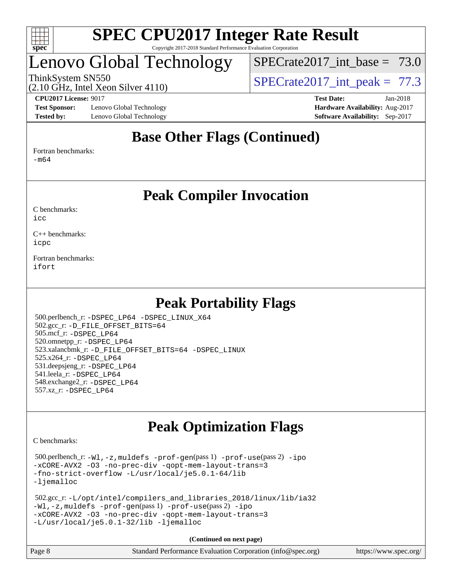

## Lenovo Global Technology

SPECrate2017 int\_base =  $73.0$ 

(2.10 GHz, Intel Xeon Silver 4110)

ThinkSystem SN550<br>  $SPECTA 110<sup>o</sup>$  SPECrate2017 int peak = 77.3

**[Test Sponsor:](http://www.spec.org/auto/cpu2017/Docs/result-fields.html#TestSponsor)** Lenovo Global Technology **[Hardware Availability:](http://www.spec.org/auto/cpu2017/Docs/result-fields.html#HardwareAvailability)** Aug-2017 **[Tested by:](http://www.spec.org/auto/cpu2017/Docs/result-fields.html#Testedby)** Lenovo Global Technology **[Software Availability:](http://www.spec.org/auto/cpu2017/Docs/result-fields.html#SoftwareAvailability)** Sep-2017

**[CPU2017 License:](http://www.spec.org/auto/cpu2017/Docs/result-fields.html#CPU2017License)** 9017 **[Test Date:](http://www.spec.org/auto/cpu2017/Docs/result-fields.html#TestDate)** Jan-2018

### **[Base Other Flags \(Continued\)](http://www.spec.org/auto/cpu2017/Docs/result-fields.html#BaseOtherFlags)**

[Fortran benchmarks](http://www.spec.org/auto/cpu2017/Docs/result-fields.html#Fortranbenchmarks):

[-m64](http://www.spec.org/cpu2017/results/res2018q1/cpu2017-20180122-03024.flags.html#user_FCbase_intel_intel64_18.0_af43caccfc8ded86e7699f2159af6efc7655f51387b94da716254467f3c01020a5059329e2569e4053f409e7c9202a7efc638f7a6d1ffb3f52dea4a3e31d82ab)

**[Peak Compiler Invocation](http://www.spec.org/auto/cpu2017/Docs/result-fields.html#PeakCompilerInvocation)**

[C benchmarks](http://www.spec.org/auto/cpu2017/Docs/result-fields.html#Cbenchmarks):  $i$ cc

[C++ benchmarks:](http://www.spec.org/auto/cpu2017/Docs/result-fields.html#CXXbenchmarks) [icpc](http://www.spec.org/cpu2017/results/res2018q1/cpu2017-20180122-03024.flags.html#user_CXXpeak_intel_icpc_18.0_c510b6838c7f56d33e37e94d029a35b4a7bccf4766a728ee175e80a419847e808290a9b78be685c44ab727ea267ec2f070ec5dc83b407c0218cded6866a35d07)

[Fortran benchmarks](http://www.spec.org/auto/cpu2017/Docs/result-fields.html#Fortranbenchmarks): [ifort](http://www.spec.org/cpu2017/results/res2018q1/cpu2017-20180122-03024.flags.html#user_FCpeak_intel_ifort_18.0_8111460550e3ca792625aed983ce982f94888b8b503583aa7ba2b8303487b4d8a21a13e7191a45c5fd58ff318f48f9492884d4413fa793fd88dd292cad7027ca)

### **[Peak Portability Flags](http://www.spec.org/auto/cpu2017/Docs/result-fields.html#PeakPortabilityFlags)**

 500.perlbench\_r: [-DSPEC\\_LP64](http://www.spec.org/cpu2017/results/res2018q1/cpu2017-20180122-03024.flags.html#b500.perlbench_r_peakPORTABILITY_DSPEC_LP64) [-DSPEC\\_LINUX\\_X64](http://www.spec.org/cpu2017/results/res2018q1/cpu2017-20180122-03024.flags.html#b500.perlbench_r_peakCPORTABILITY_DSPEC_LINUX_X64) 502.gcc\_r: [-D\\_FILE\\_OFFSET\\_BITS=64](http://www.spec.org/cpu2017/results/res2018q1/cpu2017-20180122-03024.flags.html#user_peakPORTABILITY502_gcc_r_file_offset_bits_64_5ae949a99b284ddf4e95728d47cb0843d81b2eb0e18bdfe74bbf0f61d0b064f4bda2f10ea5eb90e1dcab0e84dbc592acfc5018bc955c18609f94ddb8d550002c) 505.mcf\_r: [-DSPEC\\_LP64](http://www.spec.org/cpu2017/results/res2018q1/cpu2017-20180122-03024.flags.html#suite_peakPORTABILITY505_mcf_r_DSPEC_LP64) 520.omnetpp\_r: [-DSPEC\\_LP64](http://www.spec.org/cpu2017/results/res2018q1/cpu2017-20180122-03024.flags.html#suite_peakPORTABILITY520_omnetpp_r_DSPEC_LP64) 523.xalancbmk\_r: [-D\\_FILE\\_OFFSET\\_BITS=64](http://www.spec.org/cpu2017/results/res2018q1/cpu2017-20180122-03024.flags.html#user_peakPORTABILITY523_xalancbmk_r_file_offset_bits_64_5ae949a99b284ddf4e95728d47cb0843d81b2eb0e18bdfe74bbf0f61d0b064f4bda2f10ea5eb90e1dcab0e84dbc592acfc5018bc955c18609f94ddb8d550002c) [-DSPEC\\_LINUX](http://www.spec.org/cpu2017/results/res2018q1/cpu2017-20180122-03024.flags.html#b523.xalancbmk_r_peakCXXPORTABILITY_DSPEC_LINUX) 525.x264\_r: [-DSPEC\\_LP64](http://www.spec.org/cpu2017/results/res2018q1/cpu2017-20180122-03024.flags.html#suite_peakPORTABILITY525_x264_r_DSPEC_LP64) 531.deepsjeng\_r: [-DSPEC\\_LP64](http://www.spec.org/cpu2017/results/res2018q1/cpu2017-20180122-03024.flags.html#suite_peakPORTABILITY531_deepsjeng_r_DSPEC_LP64) 541.leela\_r: [-DSPEC\\_LP64](http://www.spec.org/cpu2017/results/res2018q1/cpu2017-20180122-03024.flags.html#suite_peakPORTABILITY541_leela_r_DSPEC_LP64) 548.exchange2\_r: [-DSPEC\\_LP64](http://www.spec.org/cpu2017/results/res2018q1/cpu2017-20180122-03024.flags.html#suite_peakPORTABILITY548_exchange2_r_DSPEC_LP64) 557.xz\_r: [-DSPEC\\_LP64](http://www.spec.org/cpu2017/results/res2018q1/cpu2017-20180122-03024.flags.html#suite_peakPORTABILITY557_xz_r_DSPEC_LP64)

## **[Peak Optimization Flags](http://www.spec.org/auto/cpu2017/Docs/result-fields.html#PeakOptimizationFlags)**

[C benchmarks](http://www.spec.org/auto/cpu2017/Docs/result-fields.html#Cbenchmarks):

 500.perlbench\_r: [-Wl,-z,muldefs](http://www.spec.org/cpu2017/results/res2018q1/cpu2017-20180122-03024.flags.html#user_peakEXTRA_LDFLAGS500_perlbench_r_link_force_multiple1_b4cbdb97b34bdee9ceefcfe54f4c8ea74255f0b02a4b23e853cdb0e18eb4525ac79b5a88067c842dd0ee6996c24547a27a4b99331201badda8798ef8a743f577) [-prof-gen](http://www.spec.org/cpu2017/results/res2018q1/cpu2017-20180122-03024.flags.html#user_peakPASS1_CFLAGSPASS1_LDFLAGS500_perlbench_r_prof_gen_5aa4926d6013ddb2a31985c654b3eb18169fc0c6952a63635c234f711e6e63dd76e94ad52365559451ec499a2cdb89e4dc58ba4c67ef54ca681ffbe1461d6b36)(pass 1) [-prof-use](http://www.spec.org/cpu2017/results/res2018q1/cpu2017-20180122-03024.flags.html#user_peakPASS2_CFLAGSPASS2_LDFLAGS500_perlbench_r_prof_use_1a21ceae95f36a2b53c25747139a6c16ca95bd9def2a207b4f0849963b97e94f5260e30a0c64f4bb623698870e679ca08317ef8150905d41bd88c6f78df73f19)(pass 2) [-ipo](http://www.spec.org/cpu2017/results/res2018q1/cpu2017-20180122-03024.flags.html#user_peakPASS1_COPTIMIZEPASS2_COPTIMIZE500_perlbench_r_f-ipo) [-xCORE-AVX2](http://www.spec.org/cpu2017/results/res2018q1/cpu2017-20180122-03024.flags.html#user_peakPASS2_COPTIMIZE500_perlbench_r_f-xCORE-AVX2) [-O3](http://www.spec.org/cpu2017/results/res2018q1/cpu2017-20180122-03024.flags.html#user_peakPASS1_COPTIMIZEPASS2_COPTIMIZE500_perlbench_r_f-O3) [-no-prec-div](http://www.spec.org/cpu2017/results/res2018q1/cpu2017-20180122-03024.flags.html#user_peakPASS1_COPTIMIZEPASS2_COPTIMIZE500_perlbench_r_f-no-prec-div) [-qopt-mem-layout-trans=3](http://www.spec.org/cpu2017/results/res2018q1/cpu2017-20180122-03024.flags.html#user_peakPASS1_COPTIMIZEPASS2_COPTIMIZE500_perlbench_r_f-qopt-mem-layout-trans_de80db37974c74b1f0e20d883f0b675c88c3b01e9d123adea9b28688d64333345fb62bc4a798493513fdb68f60282f9a726aa07f478b2f7113531aecce732043) [-fno-strict-overflow](http://www.spec.org/cpu2017/results/res2018q1/cpu2017-20180122-03024.flags.html#user_peakEXTRA_OPTIMIZE500_perlbench_r_f-fno-strict-overflow) [-L/usr/local/je5.0.1-64/lib](http://www.spec.org/cpu2017/results/res2018q1/cpu2017-20180122-03024.flags.html#user_peakEXTRA_LIBS500_perlbench_r_jemalloc_link_path64_4b10a636b7bce113509b17f3bd0d6226c5fb2346b9178c2d0232c14f04ab830f976640479e5c33dc2bcbbdad86ecfb6634cbbd4418746f06f368b512fced5394) [-ljemalloc](http://www.spec.org/cpu2017/results/res2018q1/cpu2017-20180122-03024.flags.html#user_peakEXTRA_LIBS500_perlbench_r_jemalloc_link_lib_d1249b907c500fa1c0672f44f562e3d0f79738ae9e3c4a9c376d49f265a04b9c99b167ecedbf6711b3085be911c67ff61f150a17b3472be731631ba4d0471706)

```
 502.gcc_r: -L/opt/intel/compilers_and_libraries_2018/linux/lib/ia32
-Wl,-z,muldefs -prof-gen(pass 1) -prof-use(pass 2) -ipo
-xCORE-AVX2 -O3 -no-prec-div -qopt-mem-layout-trans=3
-L/usr/local/je5.0.1-32/lib -ljemalloc
```

| Page 8 | Standard Performance Evaluation Corporation (info@spec.org) | https://www.spec.org/ |
|--------|-------------------------------------------------------------|-----------------------|
|--------|-------------------------------------------------------------|-----------------------|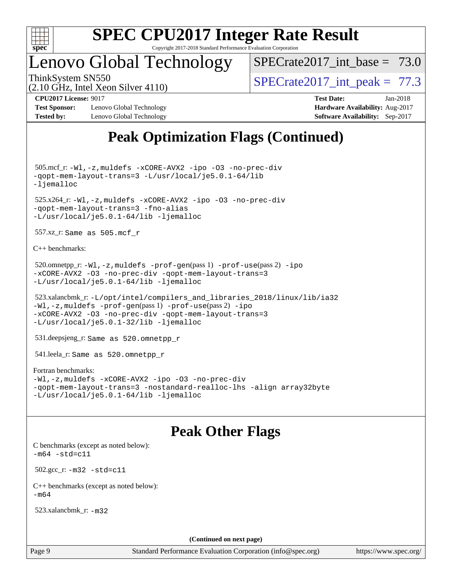

## Lenovo Global Technology

SPECrate2017 int\_base =  $73.0$ 

ThinkSystem SN550<br>  $SPECTA 110$ <br>  $SPECTA 2017$  int peak = 77.3

#### (2.10 GHz, Intel Xeon Silver 4110) **[CPU2017 License:](http://www.spec.org/auto/cpu2017/Docs/result-fields.html#CPU2017License)** 9017 **[Test Date:](http://www.spec.org/auto/cpu2017/Docs/result-fields.html#TestDate)** Jan-2018

**[Test Sponsor:](http://www.spec.org/auto/cpu2017/Docs/result-fields.html#TestSponsor)** Lenovo Global Technology **[Hardware Availability:](http://www.spec.org/auto/cpu2017/Docs/result-fields.html#HardwareAvailability)** Aug-2017 **[Tested by:](http://www.spec.org/auto/cpu2017/Docs/result-fields.html#Testedby)** Lenovo Global Technology **[Software Availability:](http://www.spec.org/auto/cpu2017/Docs/result-fields.html#SoftwareAvailability)** Sep-2017

## **[Peak Optimization Flags \(Continued\)](http://www.spec.org/auto/cpu2017/Docs/result-fields.html#PeakOptimizationFlags)**

 505.mcf\_r: [-Wl,-z,muldefs](http://www.spec.org/cpu2017/results/res2018q1/cpu2017-20180122-03024.flags.html#user_peakEXTRA_LDFLAGS505_mcf_r_link_force_multiple1_b4cbdb97b34bdee9ceefcfe54f4c8ea74255f0b02a4b23e853cdb0e18eb4525ac79b5a88067c842dd0ee6996c24547a27a4b99331201badda8798ef8a743f577) [-xCORE-AVX2](http://www.spec.org/cpu2017/results/res2018q1/cpu2017-20180122-03024.flags.html#user_peakCOPTIMIZE505_mcf_r_f-xCORE-AVX2) [-ipo](http://www.spec.org/cpu2017/results/res2018q1/cpu2017-20180122-03024.flags.html#user_peakCOPTIMIZE505_mcf_r_f-ipo) [-O3](http://www.spec.org/cpu2017/results/res2018q1/cpu2017-20180122-03024.flags.html#user_peakCOPTIMIZE505_mcf_r_f-O3) [-no-prec-div](http://www.spec.org/cpu2017/results/res2018q1/cpu2017-20180122-03024.flags.html#user_peakCOPTIMIZE505_mcf_r_f-no-prec-div) [-qopt-mem-layout-trans=3](http://www.spec.org/cpu2017/results/res2018q1/cpu2017-20180122-03024.flags.html#user_peakCOPTIMIZE505_mcf_r_f-qopt-mem-layout-trans_de80db37974c74b1f0e20d883f0b675c88c3b01e9d123adea9b28688d64333345fb62bc4a798493513fdb68f60282f9a726aa07f478b2f7113531aecce732043) [-L/usr/local/je5.0.1-64/lib](http://www.spec.org/cpu2017/results/res2018q1/cpu2017-20180122-03024.flags.html#user_peakEXTRA_LIBS505_mcf_r_jemalloc_link_path64_4b10a636b7bce113509b17f3bd0d6226c5fb2346b9178c2d0232c14f04ab830f976640479e5c33dc2bcbbdad86ecfb6634cbbd4418746f06f368b512fced5394) [-ljemalloc](http://www.spec.org/cpu2017/results/res2018q1/cpu2017-20180122-03024.flags.html#user_peakEXTRA_LIBS505_mcf_r_jemalloc_link_lib_d1249b907c500fa1c0672f44f562e3d0f79738ae9e3c4a9c376d49f265a04b9c99b167ecedbf6711b3085be911c67ff61f150a17b3472be731631ba4d0471706)

 525.x264\_r: [-Wl,-z,muldefs](http://www.spec.org/cpu2017/results/res2018q1/cpu2017-20180122-03024.flags.html#user_peakEXTRA_LDFLAGS525_x264_r_link_force_multiple1_b4cbdb97b34bdee9ceefcfe54f4c8ea74255f0b02a4b23e853cdb0e18eb4525ac79b5a88067c842dd0ee6996c24547a27a4b99331201badda8798ef8a743f577) [-xCORE-AVX2](http://www.spec.org/cpu2017/results/res2018q1/cpu2017-20180122-03024.flags.html#user_peakCOPTIMIZE525_x264_r_f-xCORE-AVX2) [-ipo](http://www.spec.org/cpu2017/results/res2018q1/cpu2017-20180122-03024.flags.html#user_peakCOPTIMIZE525_x264_r_f-ipo) [-O3](http://www.spec.org/cpu2017/results/res2018q1/cpu2017-20180122-03024.flags.html#user_peakCOPTIMIZE525_x264_r_f-O3) [-no-prec-div](http://www.spec.org/cpu2017/results/res2018q1/cpu2017-20180122-03024.flags.html#user_peakCOPTIMIZE525_x264_r_f-no-prec-div) [-qopt-mem-layout-trans=3](http://www.spec.org/cpu2017/results/res2018q1/cpu2017-20180122-03024.flags.html#user_peakCOPTIMIZE525_x264_r_f-qopt-mem-layout-trans_de80db37974c74b1f0e20d883f0b675c88c3b01e9d123adea9b28688d64333345fb62bc4a798493513fdb68f60282f9a726aa07f478b2f7113531aecce732043) [-fno-alias](http://www.spec.org/cpu2017/results/res2018q1/cpu2017-20180122-03024.flags.html#user_peakEXTRA_OPTIMIZE525_x264_r_f-no-alias_77dbac10d91cbfe898fbf4a29d1b29b694089caa623bdd1baccc9957d4edbe8d106c0b357e2748a65b44fc9e83d78098bb898077f3fe92f9faf24f7bd4a07ed7) [-L/usr/local/je5.0.1-64/lib](http://www.spec.org/cpu2017/results/res2018q1/cpu2017-20180122-03024.flags.html#user_peakEXTRA_LIBS525_x264_r_jemalloc_link_path64_4b10a636b7bce113509b17f3bd0d6226c5fb2346b9178c2d0232c14f04ab830f976640479e5c33dc2bcbbdad86ecfb6634cbbd4418746f06f368b512fced5394) [-ljemalloc](http://www.spec.org/cpu2017/results/res2018q1/cpu2017-20180122-03024.flags.html#user_peakEXTRA_LIBS525_x264_r_jemalloc_link_lib_d1249b907c500fa1c0672f44f562e3d0f79738ae9e3c4a9c376d49f265a04b9c99b167ecedbf6711b3085be911c67ff61f150a17b3472be731631ba4d0471706)

557.xz\_r: Same as 505.mcf\_r

[C++ benchmarks:](http://www.spec.org/auto/cpu2017/Docs/result-fields.html#CXXbenchmarks)

```
520.omnetpp_r:-Wl-prof-use-ipo
-xCORE-AVX2 -O3 -no-prec-div -qopt-mem-layout-trans=3
-L/usr/local/je5.0.1-64/lib -ljemalloc
```

```
 523.xalancbmk_r: -L/opt/intel/compilers_and_libraries_2018/linux/lib/ia32
-Wl,-z,muldefs -prof-gen(pass 1) -prof-use(pass 2) -ipo
-xCORE-AVX2 -O3 -no-prec-div -qopt-mem-layout-trans=3
-L/usr/local/je5.0.1-32/lib -ljemalloc
```
531.deepsjeng\_r: Same as 520.omnetpp\_r

541.leela\_r: Same as 520.omnetpp\_r

#### [Fortran benchmarks](http://www.spec.org/auto/cpu2017/Docs/result-fields.html#Fortranbenchmarks):

```
-Wl,-z,muldefs -xCORE-AVX2 -ipo -O3 -no-prec-div
-qopt-mem-layout-trans=3 -nostandard-realloc-lhs -align array32byte
-L/usr/local/je5.0.1-64/lib -ljemalloc
```
### **[Peak Other Flags](http://www.spec.org/auto/cpu2017/Docs/result-fields.html#PeakOtherFlags)**

[C benchmarks \(except as noted below\)](http://www.spec.org/auto/cpu2017/Docs/result-fields.html#Cbenchmarksexceptasnotedbelow):  $-m64 - std= c11$  $-m64 - std= c11$  502.gcc\_r: [-m32](http://www.spec.org/cpu2017/results/res2018q1/cpu2017-20180122-03024.flags.html#user_peakCCLD502_gcc_r_intel_ia32_18.0_2666f1173eb60787016b673bfe1358e27016ef7649ea4884b7bc6187fd89dc221d14632e22638cde1c647a518de97358ab15d4ad098ee4e19a8b28d0c25e14bf) [-std=c11](http://www.spec.org/cpu2017/results/res2018q1/cpu2017-20180122-03024.flags.html#user_peakCCLD502_gcc_r_intel_compiler_c11_mode_0e1c27790398a4642dfca32ffe6c27b5796f9c2d2676156f2e42c9c44eaad0c049b1cdb667a270c34d979996257aeb8fc440bfb01818dbc9357bd9d174cb8524) [C++ benchmarks \(except as noted below\):](http://www.spec.org/auto/cpu2017/Docs/result-fields.html#CXXbenchmarksexceptasnotedbelow)  $-m64$ 

523.xalancbmk\_r: [-m32](http://www.spec.org/cpu2017/results/res2018q1/cpu2017-20180122-03024.flags.html#user_peakCXXLD523_xalancbmk_r_intel_ia32_18.0_2666f1173eb60787016b673bfe1358e27016ef7649ea4884b7bc6187fd89dc221d14632e22638cde1c647a518de97358ab15d4ad098ee4e19a8b28d0c25e14bf)